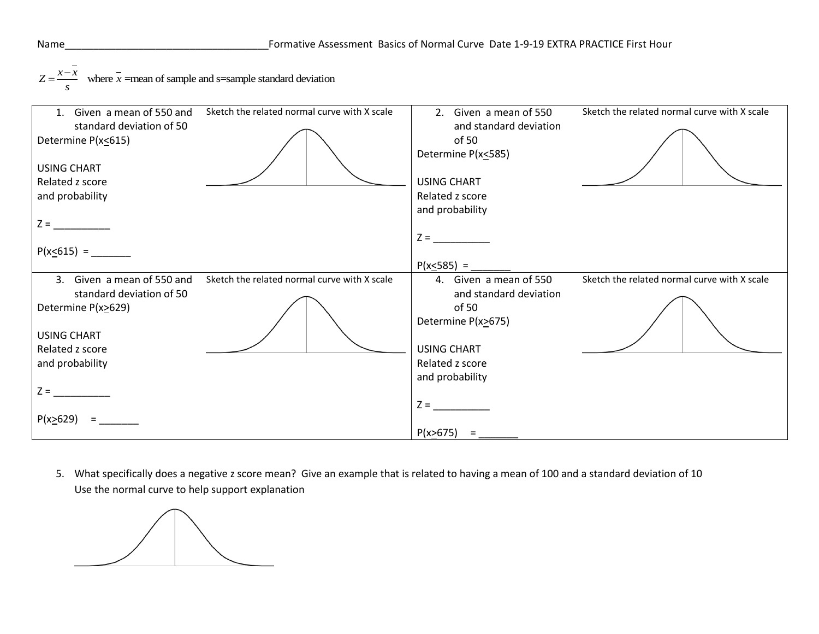Name <u>z</u> =  $\frac{1}{x - x}$  where  $\bar{x}$  =mean of sample and s=sample standard deviation  $=\frac{x-}{x-}$ 



5. What specifically does a negative z score mean? Give an example that is related to having a mean of 100 and a standard deviation of 10 Use the normal curve to help support explanation